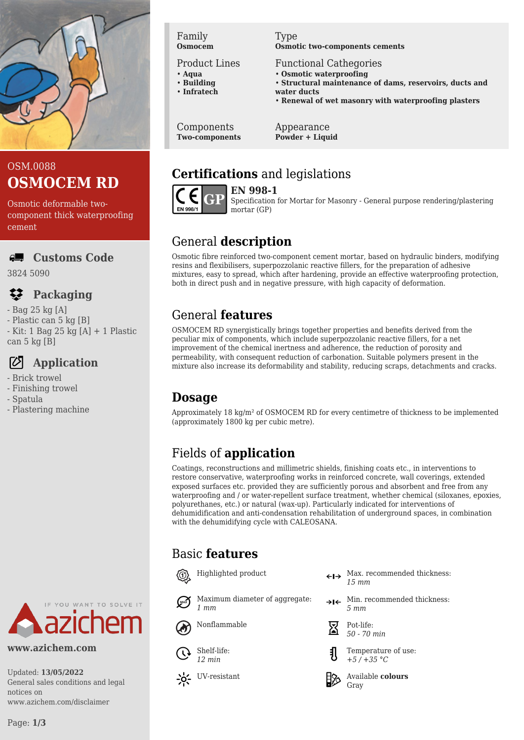

# OSM.0088 **OSMOCEM RD**

Osmotic deformable twocomponent thick waterproofing cement

#### **Customs Code**

3824 5090

# **Packaging**

- Bag 25 kg [A]
- Plastic can 5 kg [B]
- Kit: 1 Bag 25 kg [A] + 1 Plastic can 5 kg [B]

# **Application**

- Brick trowel
- Finishing trowel
- Spatula
- Plastering machine



#### **www.azichem.com**

Updated: **13/05/2022** General sales conditions and legal notices on www.azichem.com/disclaimer

#### Family **Osmocem**

Product Lines

- **Aqua**
- **Building** • **Infratech**
- 

Components **Two-components**

#### Type **Osmotic two-components cements**

- Functional Cathegories
- **Osmotic waterproofing**
- **Structural maintenance of dams, reservoirs, ducts and water ducts**
- **Renewal of wet masonry with waterproofing plasters**

Appearance **Powder + Liquid**

# **Certifications** and legislations



**EN 998-1**

Specification for Mortar for Masonry - General purpose rendering/plastering mortar (GP)

# General **description**

Osmotic fibre reinforced two-component cement mortar, based on hydraulic binders, modifying resins and flexibilisers, superpozzolanic reactive fillers, for the preparation of adhesive mixtures, easy to spread, which after hardening, provide an effective waterproofing protection, both in direct push and in negative pressure, with high capacity of deformation.

# General **features**

OSMOCEM RD synergistically brings together properties and benefits derived from the peculiar mix of components, which include superpozzolanic reactive fillers, for a net improvement of the chemical inertness and adherence, the reduction of porosity and permeability, with consequent reduction of carbonation. Suitable polymers present in the mixture also increase its deformability and stability, reducing scraps, detachments and cracks.

# **Dosage**

Approximately 18 kg/m² of OSMOCEM RD for every centimetre of thickness to be implemented (approximately 1800 kg per cubic metre).

# Fields of **application**

Coatings, reconstructions and millimetric shields, finishing coats etc., in interventions to restore conservative, waterproofing works in reinforced concrete, wall coverings, extended exposed surfaces etc. provided they are sufficiently porous and absorbent and free from any waterproofing and / or water-repellent surface treatment, whether chemical (siloxanes, epoxies, polyurethanes, etc.) or natural (wax-up). Particularly indicated for interventions of dehumidification and anti-condensation rehabilitation of underground spaces, in combination with the dehumidifying cycle with CALEOSANA.

# Basic **features**



Maximum diameter of aggregate: *1 mm*



Shelf-life: *12 min*

- $\begin{minipage}[c]{0.9\linewidth} \textbf{High}_{\text{light}} \quad \textbf{Mod}_{\text{light}} \quad \textbf{Mod}_{\text{light}} \quad \textbf{Mod}_{\text{light}} \quad \textbf{Mod}_{\text{light}} \quad \textbf{Mod}_{\text{light}} \quad \textbf{Mod}_{\text{light}} \quad \textbf{Mod}_{\text{light}} \quad \textbf{Mod}_{\text{light}} \quad \textbf{Mod}_{\text{light}} \quad \textbf{Mod}_{\text{light}} \quad \textbf{Mod}_{\text{light}} \quad \textbf{Mod}_{\text{light}} \quad \textbf{Mod}_{\text{light}} \quad \textbf{Mod}_{\text{light}} \quad \textbf{Mod}_{\text{light$ *15 mm*
	- $\rightarrow$ I $\leftarrow$  Min. recommended thickness: *5 mm*



Nonflammable  $\sum_{50}$  Pot-life: *50 - 70 min*



Temperature of use: *+5 / +35 °C*

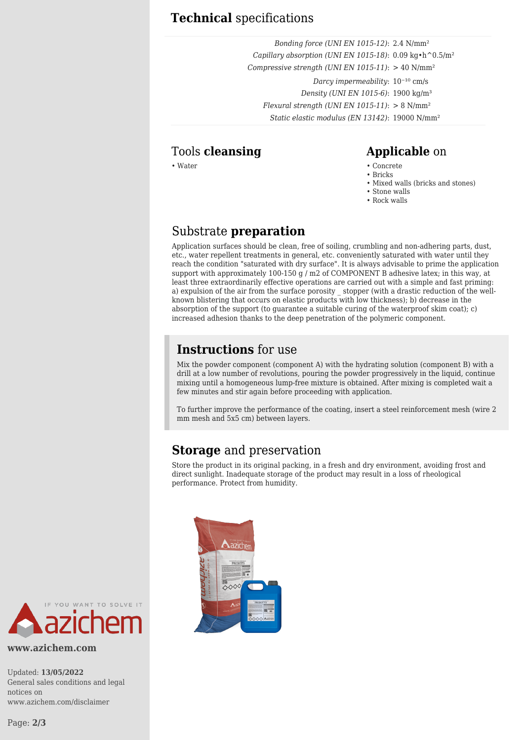### **Technical** specifications

*Bonding force (UNI EN 1015-12)*: 2.4 N/mm² *Capillary absorption (UNI EN 1015-18)*: 0.09 kg•h^0.5/m² *Compressive strength (UNI EN 1015-11)*: > 40 N/mm² *Darcy impermeability*:  $10^{-10}$  cm/s *Density (UNI EN 1015-6)*: 1900 kg/m³ *Flexural strength (UNI EN 1015-11)*: > 8 N/mm² *Static elastic modulus (EN 13142)*: 19000 N/mm²

## Tools **cleansing Applicable** on

#### • Water • Concrete

- Bricks
- Mixed walls (bricks and stones)
- Stone walls
- Rock walls

# Substrate **preparation**

Application surfaces should be clean, free of soiling, crumbling and non-adhering parts, dust, etc., water repellent treatments in general, etc. conveniently saturated with water until they reach the condition "saturated with dry surface". It is always advisable to prime the application support with approximately 100-150 g / m2 of COMPONENT B adhesive latex; in this way, at least three extraordinarily effective operations are carried out with a simple and fast priming: a) expulsion of the air from the surface porosity \_ stopper (with a drastic reduction of the wellknown blistering that occurs on elastic products with low thickness); b) decrease in the absorption of the support (to guarantee a suitable curing of the waterproof skim coat); c) increased adhesion thanks to the deep penetration of the polymeric component.

## **Instructions** for use

Mix the powder component (component A) with the hydrating solution (component B) with a drill at a low number of revolutions, pouring the powder progressively in the liquid, continue mixing until a homogeneous lump-free mixture is obtained. After mixing is completed wait a few minutes and stir again before proceeding with application.

To further improve the performance of the coating, insert a steel reinforcement mesh (wire 2 mm mesh and 5x5 cm) between layers.

## **Storage** and preservation

Store the product in its original packing, in a fresh and dry environment, avoiding frost and direct sunlight. Inadequate storage of the product may result in a loss of rheological performance. Protect from humidity.



**www.azichem.com**

Updated: **13/05/2022** General sales conditions and legal notices on www.azichem.com/disclaimer